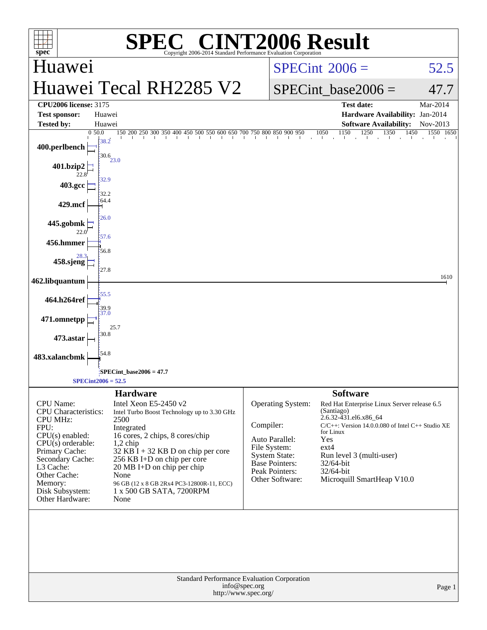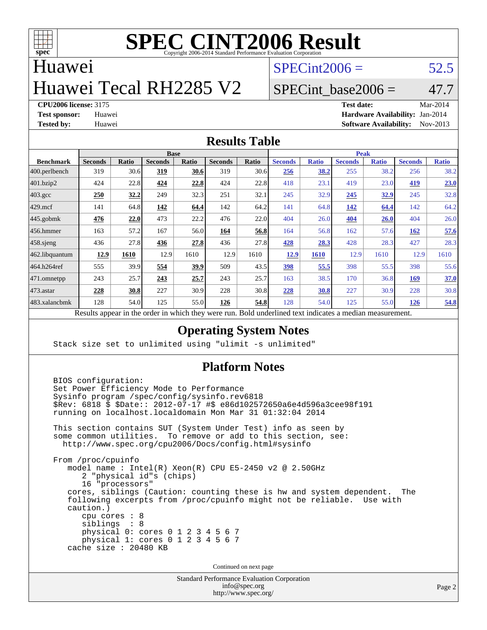

## Huawei

# Huawei Tecal RH2285 V2

 $SPECint2006 = 52.5$  $SPECint2006 = 52.5$ 

## SPECint base2006 =  $47.7$

**[CPU2006 license:](http://www.spec.org/auto/cpu2006/Docs/result-fields.html#CPU2006license)** 3175 **[Test date:](http://www.spec.org/auto/cpu2006/Docs/result-fields.html#Testdate)** Mar-2014 **[Test sponsor:](http://www.spec.org/auto/cpu2006/Docs/result-fields.html#Testsponsor)** Huawei **[Hardware Availability:](http://www.spec.org/auto/cpu2006/Docs/result-fields.html#HardwareAvailability)** Jan-2014 **[Tested by:](http://www.spec.org/auto/cpu2006/Docs/result-fields.html#Testedby)** Huawei **[Software Availability:](http://www.spec.org/auto/cpu2006/Docs/result-fields.html#SoftwareAvailability)** Nov-2013

### **[Results Table](http://www.spec.org/auto/cpu2006/Docs/result-fields.html#ResultsTable)**

| <b>Base</b>    |              |                |              |                | <b>Peak</b>  |                |              |                |                         |                |              |
|----------------|--------------|----------------|--------------|----------------|--------------|----------------|--------------|----------------|-------------------------|----------------|--------------|
| <b>Seconds</b> | <b>Ratio</b> | <b>Seconds</b> | <b>Ratio</b> | <b>Seconds</b> | <b>Ratio</b> | <b>Seconds</b> | <b>Ratio</b> | <b>Seconds</b> | <b>Ratio</b>            | <b>Seconds</b> | <b>Ratio</b> |
| 319            | 30.6         | 319            | 30.6         | 319            | 30.6         | <u>256</u>     | 38.2         | 255            | 38.2                    | 256            | 38.2         |
| 424            | 22.8         | 424            | 22.8         | 424            | 22.8         | 418            | 23.1         | 419            | 23.0                    | 419            | 23.0         |
| 250            | 32.2         | 249            | 32.3         | 251            | 32.1         | 245            | 32.9         | 245            | <u>32.9</u>             | 245            | 32.8         |
| 141            | 64.8         | 142            | 64.4         | 142            | 64.2         | 141            | 64.8         | <u>142</u>     | 64.4                    | 142            | 64.2         |
| 476            | 22.0         | 473            | 22.2         | 476            | 22.0         | 404            | 26.0         | 404            | <b>26.0</b>             | 404            | 26.0         |
| 163            | 57.2         | 167            | 56.0         | 164            | 56.8         | 164            |              | 162            | 57.6                    | 162            | 57.6         |
| 436            | 27.8         | 436            | 27.8         | 436            | 27.8         | 428            | 28.3         | 428            | 28.3                    | 427            | 28.3         |
| 12.9           | 1610         | 12.9           | 1610         | 12.9           | 1610         | 12.9           | 1610         | 12.9           | 1610                    | 12.9           | 1610         |
| 555            | 39.9         | 554            | 39.9         | 509            | 43.5         | 398            | 55.5         | 398            | 55.5                    | 398            | 55.6         |
| 243            | 25.7         | 243            | 25.7         | 243            | 25.7         | 163            |              | 170            | 36.8                    | <b>169</b>     | 37.0         |
| 228            | 30.8         | 227            | 30.9         | 228            | 30.8         | 228            | 30.8         | 227            | 30.9                    | 228            | 30.8         |
| 128            | 54.0         | 125            | 55.0         | 126            | 54.8         | 128            | 54.0         | 125            | 55.0                    | <u>126</u>     | 54.8         |
| D.             | $\mathbf{1}$ |                |              | 1.1.1          |              |                |              | $\mathbf{1}$   | 56.8<br>38.5<br>$\cdot$ |                |              |

Results appear in the [order in which they were run.](http://www.spec.org/auto/cpu2006/Docs/result-fields.html#RunOrder) Bold underlined text [indicates a median measurement.](http://www.spec.org/auto/cpu2006/Docs/result-fields.html#Median)

### **[Operating System Notes](http://www.spec.org/auto/cpu2006/Docs/result-fields.html#OperatingSystemNotes)**

Stack size set to unlimited using "ulimit -s unlimited"

### **[Platform Notes](http://www.spec.org/auto/cpu2006/Docs/result-fields.html#PlatformNotes)**

 BIOS configuration: Set Power Efficiency Mode to Performance Sysinfo program /spec/config/sysinfo.rev6818 \$Rev: 6818 \$ \$Date:: 2012-07-17 #\$ e86d102572650a6e4d596a3cee98f191 running on localhost.localdomain Mon Mar 31 01:32:04 2014 This section contains SUT (System Under Test) info as seen by some common utilities. To remove or add to this section, see: <http://www.spec.org/cpu2006/Docs/config.html#sysinfo> From /proc/cpuinfo model name : Intel(R) Xeon(R) CPU E5-2450 v2 @ 2.50GHz 2 "physical id"s (chips) 16 "processors" cores, siblings (Caution: counting these is hw and system dependent. The following excerpts from /proc/cpuinfo might not be reliable. Use with caution.) cpu cores : 8 siblings : 8 physical 0: cores 0 1 2 3 4 5 6 7 physical 1: cores 0 1 2 3 4 5 6 7 cache size : 20480 KB

Continued on next page

Standard Performance Evaluation Corporation [info@spec.org](mailto:info@spec.org) <http://www.spec.org/>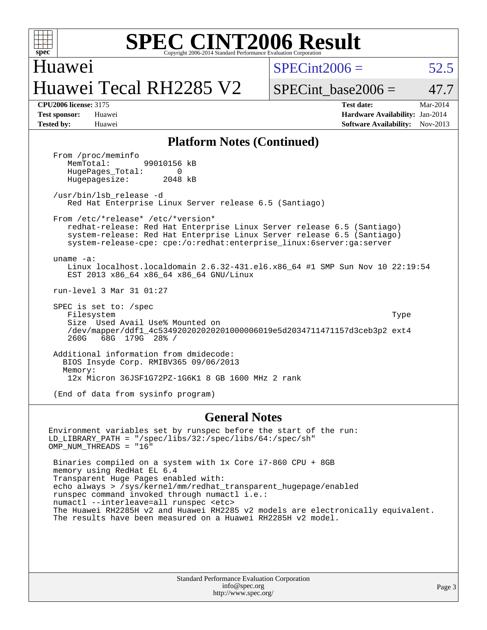

Huawei Huawei Tecal RH2285 V2  $SPECint2006 = 52.5$  $SPECint2006 = 52.5$ 

SPECint base2006 =  $47.7$ 

**[CPU2006 license:](http://www.spec.org/auto/cpu2006/Docs/result-fields.html#CPU2006license)** 3175 **[Test date:](http://www.spec.org/auto/cpu2006/Docs/result-fields.html#Testdate)** Mar-2014 **[Test sponsor:](http://www.spec.org/auto/cpu2006/Docs/result-fields.html#Testsponsor)** Huawei **[Hardware Availability:](http://www.spec.org/auto/cpu2006/Docs/result-fields.html#HardwareAvailability)** Jan-2014 **[Tested by:](http://www.spec.org/auto/cpu2006/Docs/result-fields.html#Testedby)** Huawei **[Software Availability:](http://www.spec.org/auto/cpu2006/Docs/result-fields.html#SoftwareAvailability)** Nov-2013

### **[Platform Notes \(Continued\)](http://www.spec.org/auto/cpu2006/Docs/result-fields.html#PlatformNotes)**

From /proc/meminfo<br>MemTotal: 99010156 kB HugePages\_Total: 0<br>Hugepagesize: 2048 kB Hugepagesize:

 /usr/bin/lsb\_release -d Red Hat Enterprise Linux Server release 6.5 (Santiago)

From /etc/\*release\* /etc/\*version\*

 redhat-release: Red Hat Enterprise Linux Server release 6.5 (Santiago) system-release: Red Hat Enterprise Linux Server release 6.5 (Santiago) system-release-cpe: cpe:/o:redhat:enterprise\_linux:6server:ga:server

 uname -a: Linux localhost.localdomain 2.6.32-431.el6.x86\_64 #1 SMP Sun Nov 10 22:19:54 EST 2013 x86\_64 x86\_64 x86\_64 GNU/Linux

run-level 3 Mar 31 01:27

 SPEC is set to: /spec Filesystem Type Size Used Avail Use% Mounted on /dev/mapper/ddf1\_4c534920202020201000006019e5d2034711471157d3ceb3p2 ext4 260G 68G 179G 28% /

 Additional information from dmidecode: BIOS Insyde Corp. RMIBV365 09/06/2013 Memory: 12x Micron 36JSF1G72PZ-1G6K1 8 GB 1600 MHz 2 rank

(End of data from sysinfo program)

### **[General Notes](http://www.spec.org/auto/cpu2006/Docs/result-fields.html#GeneralNotes)**

Environment variables set by runspec before the start of the run: LD\_LIBRARY\_PATH = "/spec/libs/32:/spec/libs/64:/spec/sh" OMP\_NUM\_THREADS = "16" Binaries compiled on a system with 1x Core i7-860 CPU + 8GB memory using RedHat EL 6.4 Transparent Huge Pages enabled with: echo always > /sys/kernel/mm/redhat\_transparent\_hugepage/enabled runspec command invoked through numactl i.e.: numactl --interleave=all runspec <etc> The Huawei RH2285H v2 and Huawei RH2285 v2 models are electronically equivalent. The results have been measured on a Huawei RH2285H v2 model.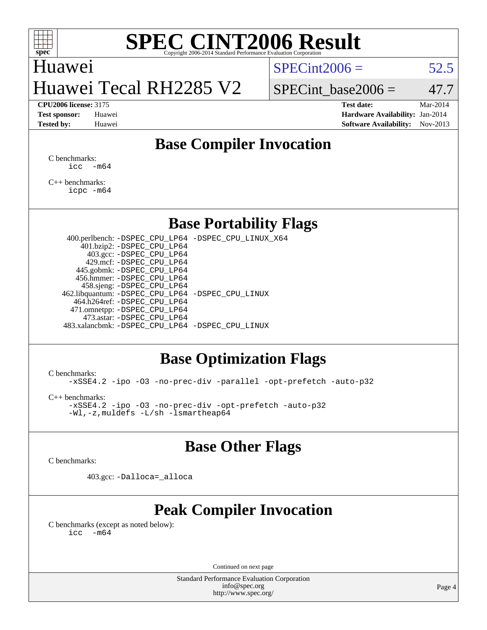

## Huawei Huawei Tecal RH2285 V2

 $SPECint2006 = 52.5$  $SPECint2006 = 52.5$ 

SPECint base2006 =  $47.7$ 

**[CPU2006 license:](http://www.spec.org/auto/cpu2006/Docs/result-fields.html#CPU2006license)** 3175 **[Test date:](http://www.spec.org/auto/cpu2006/Docs/result-fields.html#Testdate)** Mar-2014 **[Test sponsor:](http://www.spec.org/auto/cpu2006/Docs/result-fields.html#Testsponsor)** Huawei **[Hardware Availability:](http://www.spec.org/auto/cpu2006/Docs/result-fields.html#HardwareAvailability)** Jan-2014 **[Tested by:](http://www.spec.org/auto/cpu2006/Docs/result-fields.html#Testedby)** Huawei **[Software Availability:](http://www.spec.org/auto/cpu2006/Docs/result-fields.html#SoftwareAvailability)** Nov-2013

## **[Base Compiler Invocation](http://www.spec.org/auto/cpu2006/Docs/result-fields.html#BaseCompilerInvocation)**

[C benchmarks](http://www.spec.org/auto/cpu2006/Docs/result-fields.html#Cbenchmarks):  $\text{icc}$   $-\text{m64}$ 

[C++ benchmarks:](http://www.spec.org/auto/cpu2006/Docs/result-fields.html#CXXbenchmarks) [icpc -m64](http://www.spec.org/cpu2006/results/res2014q3/cpu2006-20140719-30523.flags.html#user_CXXbase_intel_icpc_64bit_fc66a5337ce925472a5c54ad6a0de310)

## **[Base Portability Flags](http://www.spec.org/auto/cpu2006/Docs/result-fields.html#BasePortabilityFlags)**

 400.perlbench: [-DSPEC\\_CPU\\_LP64](http://www.spec.org/cpu2006/results/res2014q3/cpu2006-20140719-30523.flags.html#b400.perlbench_basePORTABILITY_DSPEC_CPU_LP64) [-DSPEC\\_CPU\\_LINUX\\_X64](http://www.spec.org/cpu2006/results/res2014q3/cpu2006-20140719-30523.flags.html#b400.perlbench_baseCPORTABILITY_DSPEC_CPU_LINUX_X64) 401.bzip2: [-DSPEC\\_CPU\\_LP64](http://www.spec.org/cpu2006/results/res2014q3/cpu2006-20140719-30523.flags.html#suite_basePORTABILITY401_bzip2_DSPEC_CPU_LP64) 403.gcc: [-DSPEC\\_CPU\\_LP64](http://www.spec.org/cpu2006/results/res2014q3/cpu2006-20140719-30523.flags.html#suite_basePORTABILITY403_gcc_DSPEC_CPU_LP64) 429.mcf: [-DSPEC\\_CPU\\_LP64](http://www.spec.org/cpu2006/results/res2014q3/cpu2006-20140719-30523.flags.html#suite_basePORTABILITY429_mcf_DSPEC_CPU_LP64) 445.gobmk: [-DSPEC\\_CPU\\_LP64](http://www.spec.org/cpu2006/results/res2014q3/cpu2006-20140719-30523.flags.html#suite_basePORTABILITY445_gobmk_DSPEC_CPU_LP64) 456.hmmer: [-DSPEC\\_CPU\\_LP64](http://www.spec.org/cpu2006/results/res2014q3/cpu2006-20140719-30523.flags.html#suite_basePORTABILITY456_hmmer_DSPEC_CPU_LP64) 458.sjeng: [-DSPEC\\_CPU\\_LP64](http://www.spec.org/cpu2006/results/res2014q3/cpu2006-20140719-30523.flags.html#suite_basePORTABILITY458_sjeng_DSPEC_CPU_LP64) 462.libquantum: [-DSPEC\\_CPU\\_LP64](http://www.spec.org/cpu2006/results/res2014q3/cpu2006-20140719-30523.flags.html#suite_basePORTABILITY462_libquantum_DSPEC_CPU_LP64) [-DSPEC\\_CPU\\_LINUX](http://www.spec.org/cpu2006/results/res2014q3/cpu2006-20140719-30523.flags.html#b462.libquantum_baseCPORTABILITY_DSPEC_CPU_LINUX) 464.h264ref: [-DSPEC\\_CPU\\_LP64](http://www.spec.org/cpu2006/results/res2014q3/cpu2006-20140719-30523.flags.html#suite_basePORTABILITY464_h264ref_DSPEC_CPU_LP64) 471.omnetpp: [-DSPEC\\_CPU\\_LP64](http://www.spec.org/cpu2006/results/res2014q3/cpu2006-20140719-30523.flags.html#suite_basePORTABILITY471_omnetpp_DSPEC_CPU_LP64) 473.astar: [-DSPEC\\_CPU\\_LP64](http://www.spec.org/cpu2006/results/res2014q3/cpu2006-20140719-30523.flags.html#suite_basePORTABILITY473_astar_DSPEC_CPU_LP64) 483.xalancbmk: [-DSPEC\\_CPU\\_LP64](http://www.spec.org/cpu2006/results/res2014q3/cpu2006-20140719-30523.flags.html#suite_basePORTABILITY483_xalancbmk_DSPEC_CPU_LP64) [-DSPEC\\_CPU\\_LINUX](http://www.spec.org/cpu2006/results/res2014q3/cpu2006-20140719-30523.flags.html#b483.xalancbmk_baseCXXPORTABILITY_DSPEC_CPU_LINUX)

## **[Base Optimization Flags](http://www.spec.org/auto/cpu2006/Docs/result-fields.html#BaseOptimizationFlags)**

[C benchmarks](http://www.spec.org/auto/cpu2006/Docs/result-fields.html#Cbenchmarks):

[-xSSE4.2](http://www.spec.org/cpu2006/results/res2014q3/cpu2006-20140719-30523.flags.html#user_CCbase_f-xSSE42_f91528193cf0b216347adb8b939d4107) [-ipo](http://www.spec.org/cpu2006/results/res2014q3/cpu2006-20140719-30523.flags.html#user_CCbase_f-ipo) [-O3](http://www.spec.org/cpu2006/results/res2014q3/cpu2006-20140719-30523.flags.html#user_CCbase_f-O3) [-no-prec-div](http://www.spec.org/cpu2006/results/res2014q3/cpu2006-20140719-30523.flags.html#user_CCbase_f-no-prec-div) [-parallel](http://www.spec.org/cpu2006/results/res2014q3/cpu2006-20140719-30523.flags.html#user_CCbase_f-parallel) [-opt-prefetch](http://www.spec.org/cpu2006/results/res2014q3/cpu2006-20140719-30523.flags.html#user_CCbase_f-opt-prefetch) [-auto-p32](http://www.spec.org/cpu2006/results/res2014q3/cpu2006-20140719-30523.flags.html#user_CCbase_f-auto-p32)

[C++ benchmarks:](http://www.spec.org/auto/cpu2006/Docs/result-fields.html#CXXbenchmarks)

[-xSSE4.2](http://www.spec.org/cpu2006/results/res2014q3/cpu2006-20140719-30523.flags.html#user_CXXbase_f-xSSE42_f91528193cf0b216347adb8b939d4107) [-ipo](http://www.spec.org/cpu2006/results/res2014q3/cpu2006-20140719-30523.flags.html#user_CXXbase_f-ipo) [-O3](http://www.spec.org/cpu2006/results/res2014q3/cpu2006-20140719-30523.flags.html#user_CXXbase_f-O3) [-no-prec-div](http://www.spec.org/cpu2006/results/res2014q3/cpu2006-20140719-30523.flags.html#user_CXXbase_f-no-prec-div) [-opt-prefetch](http://www.spec.org/cpu2006/results/res2014q3/cpu2006-20140719-30523.flags.html#user_CXXbase_f-opt-prefetch) [-auto-p32](http://www.spec.org/cpu2006/results/res2014q3/cpu2006-20140719-30523.flags.html#user_CXXbase_f-auto-p32) [-Wl,-z,muldefs](http://www.spec.org/cpu2006/results/res2014q3/cpu2006-20140719-30523.flags.html#user_CXXbase_link_force_multiple1_74079c344b956b9658436fd1b6dd3a8a) [-L/sh -lsmartheap64](http://www.spec.org/cpu2006/results/res2014q3/cpu2006-20140719-30523.flags.html#user_CXXbase_SmartHeap64_ed4ef857ce90951921efb0d91eb88472)

## **[Base Other Flags](http://www.spec.org/auto/cpu2006/Docs/result-fields.html#BaseOtherFlags)**

[C benchmarks](http://www.spec.org/auto/cpu2006/Docs/result-fields.html#Cbenchmarks):

403.gcc: [-Dalloca=\\_alloca](http://www.spec.org/cpu2006/results/res2014q3/cpu2006-20140719-30523.flags.html#b403.gcc_baseEXTRA_CFLAGS_Dalloca_be3056838c12de2578596ca5467af7f3)

## **[Peak Compiler Invocation](http://www.spec.org/auto/cpu2006/Docs/result-fields.html#PeakCompilerInvocation)**

[C benchmarks \(except as noted below\)](http://www.spec.org/auto/cpu2006/Docs/result-fields.html#Cbenchmarksexceptasnotedbelow):  $\text{icc}$  -m64

Continued on next page

Standard Performance Evaluation Corporation [info@spec.org](mailto:info@spec.org) <http://www.spec.org/>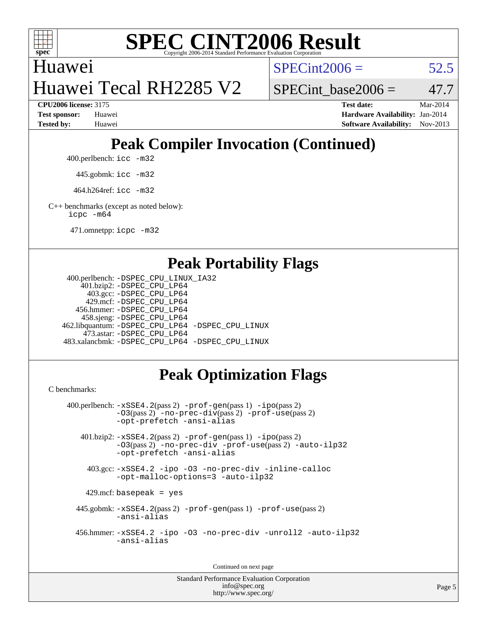

Huawei Huawei Tecal RH2285 V2  $SPECint2006 = 52.5$  $SPECint2006 = 52.5$ 

**[CPU2006 license:](http://www.spec.org/auto/cpu2006/Docs/result-fields.html#CPU2006license)** 3175 **[Test date:](http://www.spec.org/auto/cpu2006/Docs/result-fields.html#Testdate)** Mar-2014 **[Test sponsor:](http://www.spec.org/auto/cpu2006/Docs/result-fields.html#Testsponsor)** Huawei **[Hardware Availability:](http://www.spec.org/auto/cpu2006/Docs/result-fields.html#HardwareAvailability)** Jan-2014 **[Tested by:](http://www.spec.org/auto/cpu2006/Docs/result-fields.html#Testedby)** Huawei **[Software Availability:](http://www.spec.org/auto/cpu2006/Docs/result-fields.html#SoftwareAvailability)** Nov-2013

SPECint base2006 =  $47.7$ 

## **[Peak Compiler Invocation \(Continued\)](http://www.spec.org/auto/cpu2006/Docs/result-fields.html#PeakCompilerInvocation)**

400.perlbench: [icc -m32](http://www.spec.org/cpu2006/results/res2014q3/cpu2006-20140719-30523.flags.html#user_peakCCLD400_perlbench_intel_icc_a6a621f8d50482236b970c6ac5f55f93)

445.gobmk: [icc -m32](http://www.spec.org/cpu2006/results/res2014q3/cpu2006-20140719-30523.flags.html#user_peakCCLD445_gobmk_intel_icc_a6a621f8d50482236b970c6ac5f55f93)

464.h264ref: [icc -m32](http://www.spec.org/cpu2006/results/res2014q3/cpu2006-20140719-30523.flags.html#user_peakCCLD464_h264ref_intel_icc_a6a621f8d50482236b970c6ac5f55f93)

[C++ benchmarks \(except as noted below\):](http://www.spec.org/auto/cpu2006/Docs/result-fields.html#CXXbenchmarksexceptasnotedbelow) [icpc -m64](http://www.spec.org/cpu2006/results/res2014q3/cpu2006-20140719-30523.flags.html#user_CXXpeak_intel_icpc_64bit_fc66a5337ce925472a5c54ad6a0de310)

471.omnetpp: [icpc -m32](http://www.spec.org/cpu2006/results/res2014q3/cpu2006-20140719-30523.flags.html#user_peakCXXLD471_omnetpp_intel_icpc_4e5a5ef1a53fd332b3c49e69c3330699)

## **[Peak Portability Flags](http://www.spec.org/auto/cpu2006/Docs/result-fields.html#PeakPortabilityFlags)**

```
 400.perlbench: -DSPEC_CPU_LINUX_IA32
    401.bzip2: -DSPEC_CPU_LP64
      403.gcc: -DSPEC_CPU_LP64
     429.mcf: -DSPEC_CPU_LP64
   456.hmmer: -DSPEC_CPU_LP64
    458.sjeng: -DSPEC_CPU_LP64
462.libquantum: -DSPEC_CPU_LP64 -DSPEC_CPU_LINUX
     473.astar: -DSPEC_CPU_LP64
483.xalancbmk: -DSPEC_CPU_LP64 -DSPEC_CPU_LINUX
```
## **[Peak Optimization Flags](http://www.spec.org/auto/cpu2006/Docs/result-fields.html#PeakOptimizationFlags)**

[C benchmarks](http://www.spec.org/auto/cpu2006/Docs/result-fields.html#Cbenchmarks):

```
 400.perlbench: -xSSE4.2(pass 2) -prof-gen(pass 1) -ipo(pass 2)
           -O3(pass 2) -no-prec-div(pass 2) -prof-use(pass 2)
          -opt-prefetch -ansi-alias
   401.bzip2: -xSSE4.2(pass 2) -prof-gen(pass 1) -ipo(pass 2)
           -O3(pass 2) -no-prec-div -prof-use(pass 2) -auto-ilp32
           -opt-prefetch -ansi-alias
    403.gcc: -xSSE4.2 -ipo -O3 -no-prec-div -inline-calloc
           -opt-malloc-options=3 -auto-ilp32
   429.mcf: basepeak = yes
  445.gobmk: -xSSE4.2(pass 2) -prof-gen(pass 1) -prof-use(pass 2)
           -ansi-alias
  456.hmmer: -xSSE4.2 -ipo -O3 -no-prec-div -unroll2 -auto-ilp32
           -ansi-alias
```
Continued on next page

Standard Performance Evaluation Corporation [info@spec.org](mailto:info@spec.org) <http://www.spec.org/>

Page 5